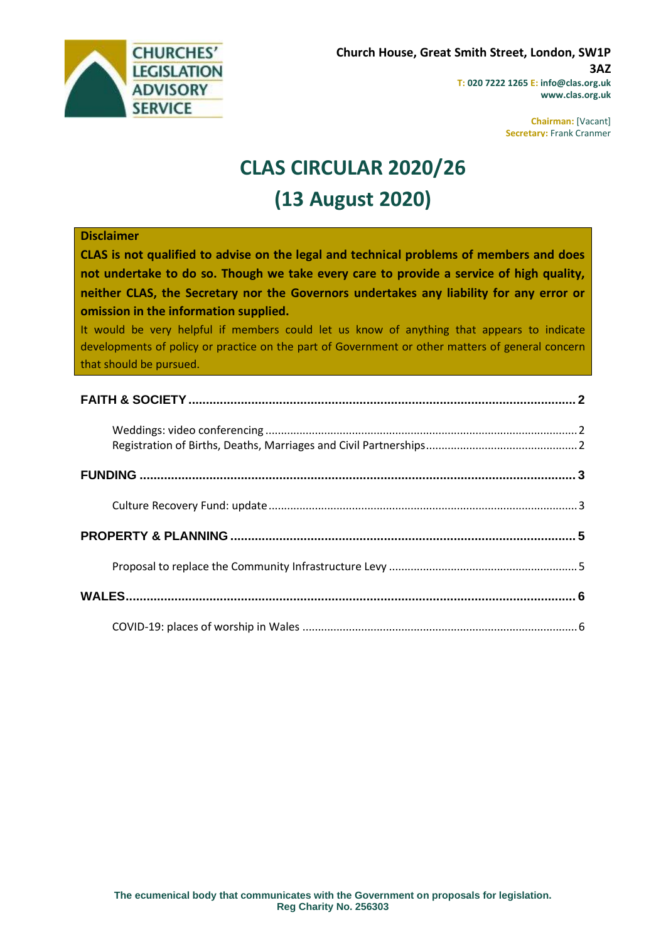

**Chairman:** [Vacant] **Secretary:** Frank Cranmer

# **CLAS CIRCULAR 2020/26 (13 August 2020)**

#### **Disclaimer**

**CLAS is not qualified to advise on the legal and technical problems of members and does not undertake to do so. Though we take every care to provide a service of high quality, neither CLAS, the Secretary nor the Governors undertakes any liability for any error or omission in the information supplied.**

It would be very helpful if members could let us know of anything that appears to indicate developments of policy or practice on the part of Government or other matters of general concern that should be pursued.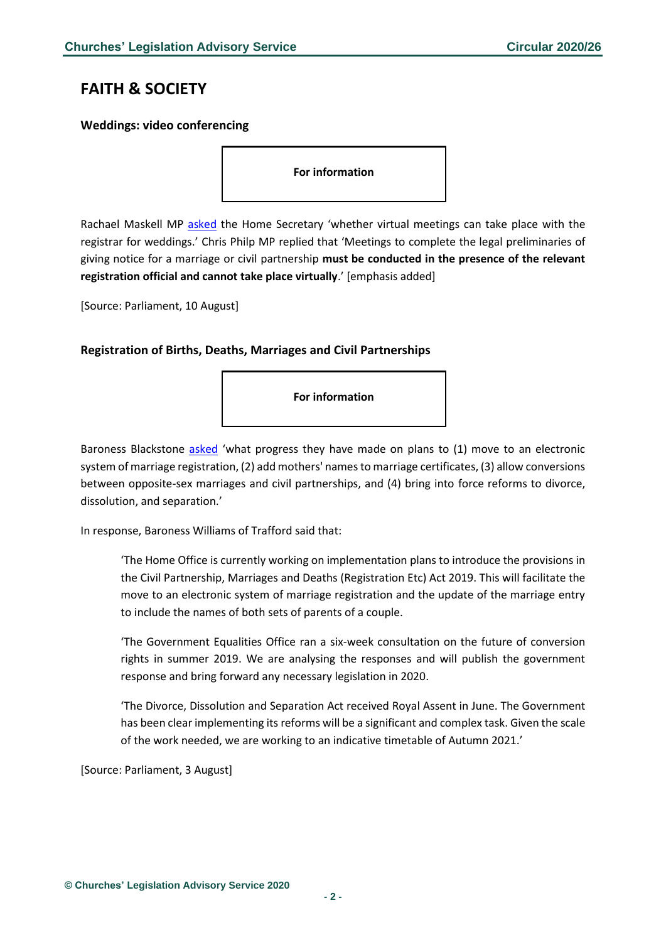## <span id="page-1-0"></span>**FAITH & SOCIETY**

#### <span id="page-1-1"></span>**Weddings: video conferencing**

**For information**

Rachael Maskell MP [asked](https://www.parliament.uk/business/publications/written-questions-answers-statements/written-question/Commons/2020-06-01/52183/) the Home Secretary 'whether virtual meetings can take place with the registrar for weddings.' Chris Philp MP replied that 'Meetings to complete the legal preliminaries of giving notice for a marriage or civil partnership **must be conducted in the presence of the relevant registration official and cannot take place virtually**.' [emphasis added]

[Source: Parliament, 10 August]

#### <span id="page-1-2"></span>**Registration of Births, Deaths, Marriages and Civil Partnerships**



Baroness Blackstone [asked](https://www.parliament.uk/business/publications/written-questions-answers-statements/written-question/Lords/2020-07-20/HL7029/) 'what progress they have made on plans to (1) move to an electronic system of marriage registration, (2) add mothers' names to marriage certificates, (3) allow conversions between opposite-sex marriages and civil partnerships, and (4) bring into force reforms to divorce, dissolution, and separation.'

In response, Baroness Williams of Trafford said that:

'The Home Office is currently working on implementation plans to introduce the provisions in the Civil Partnership, Marriages and Deaths (Registration Etc) Act 2019. This will facilitate the move to an electronic system of marriage registration and the update of the marriage entry to include the names of both sets of parents of a couple.

'The Government Equalities Office ran a six-week consultation on the future of conversion rights in summer 2019. We are analysing the responses and will publish the government response and bring forward any necessary legislation in 2020.

'The Divorce, Dissolution and Separation Act received Royal Assent in June. The Government has been clear implementing its reforms will be a significant and complex task. Given the scale of the work needed, we are working to an indicative timetable of Autumn 2021.'

[Source: Parliament, 3 August]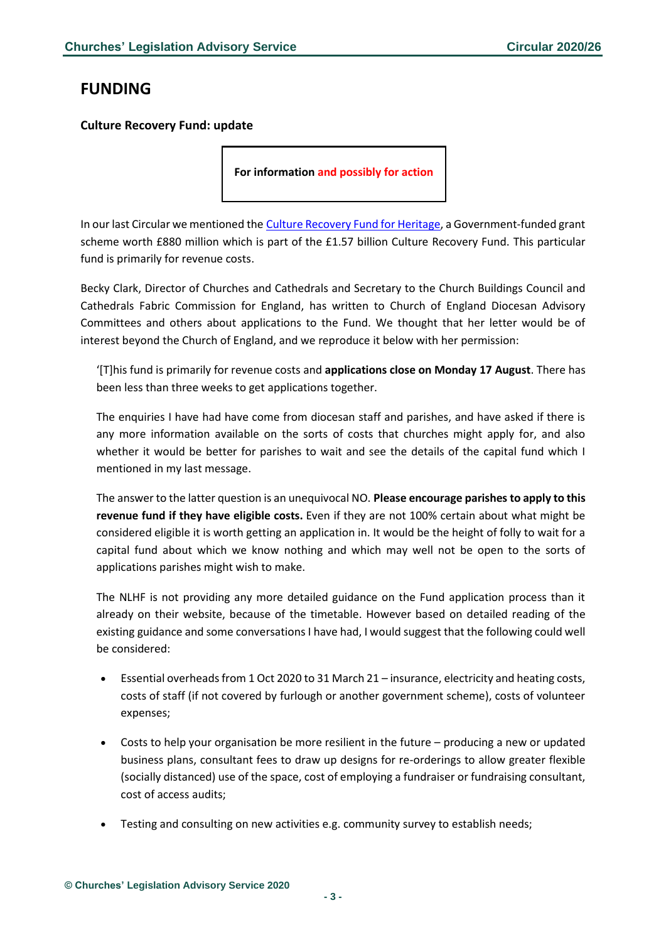# <span id="page-2-0"></span>**FUNDING**

#### <span id="page-2-1"></span>**Culture Recovery Fund: update**

**For information and possibly for action**

In our last Circular we mentioned the [Culture Recovery Fund for Heritage,](https://eur02.safelinks.protection.outlook.com/?url=https%3A%2F%2Fwww.heritagefund.org.uk%2Ffunding%2Fculture-recovery-fund-for-heritage-0&data=02%7C01%7Cbecky.clark%40churchofengland.org%7C70e5ee18da9b4ef56a0108d83ecca049%7C95e2463b3ab047b49ac1587c77ee84f0%7C0%7C0%7C637328395873804535&sdata=BKpgSIrh0TW8u%2F0OoEkoOOvfglfSGOV4CZ2P1tplCG4%3D&reserved=0) a Government-funded grant scheme worth £880 million which is part of the £1.57 billion Culture Recovery Fund. This particular fund is primarily for revenue costs.

Becky Clark, Director of Churches and Cathedrals and Secretary to the Church Buildings Council and Cathedrals Fabric Commission for England, has written to Church of England Diocesan Advisory Committees and others about applications to the Fund. We thought that her letter would be of interest beyond the Church of England, and we reproduce it below with her permission:

'[T]his fund is primarily for revenue costs and **applications close on Monday 17 August**. There has been less than three weeks to get applications together.

The enquiries I have had have come from diocesan staff and parishes, and have asked if there is any more information available on the sorts of costs that churches might apply for, and also whether it would be better for parishes to wait and see the details of the capital fund which I mentioned in my last message.

The answer to the latter question is an unequivocal NO. **Please encourage parishes to apply to this revenue fund if they have eligible costs.** Even if they are not 100% certain about what might be considered eligible it is worth getting an application in. It would be the height of folly to wait for a capital fund about which we know nothing and which may well not be open to the sorts of applications parishes might wish to make.

The NLHF is not providing any more detailed guidance on the Fund application process than it already on their website, because of the timetable. However based on detailed reading of the existing guidance and some conversations I have had, I would suggest that the following could well be considered:

- Essential overheads from 1 Oct 2020 to 31 March 21 insurance, electricity and heating costs, costs of staff (if not covered by furlough or another government scheme), costs of volunteer expenses;
- Costs to help your organisation be more resilient in the future producing a new or updated business plans, consultant fees to draw up designs for re-orderings to allow greater flexible (socially distanced) use of the space, cost of employing a fundraiser or fundraising consultant, cost of access audits;
- Testing and consulting on new activities e.g. community survey to establish needs;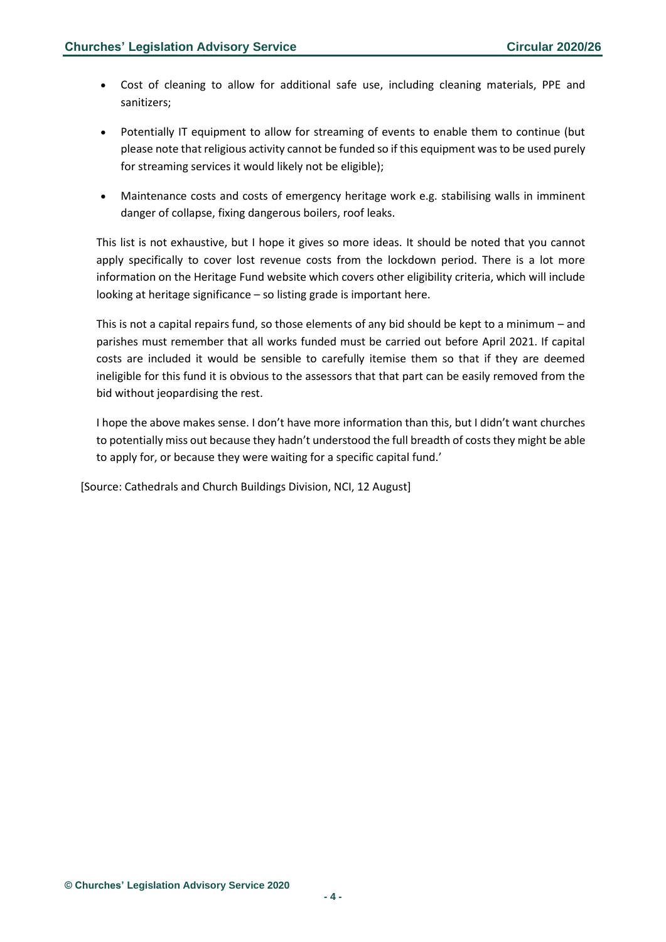- Cost of cleaning to allow for additional safe use, including cleaning materials, PPE and sanitizers;
- Potentially IT equipment to allow for streaming of events to enable them to continue (but please note that religious activity cannot be funded so if this equipment was to be used purely for streaming services it would likely not be eligible);
- Maintenance costs and costs of emergency heritage work e.g. stabilising walls in imminent danger of collapse, fixing dangerous boilers, roof leaks.

This list is not exhaustive, but I hope it gives so more ideas. It should be noted that you cannot apply specifically to cover lost revenue costs from the lockdown period. There is a lot more information on the Heritage Fund website which covers other eligibility criteria, which will include looking at heritage significance – so listing grade is important here.

This is not a capital repairs fund, so those elements of any bid should be kept to a minimum – and parishes must remember that all works funded must be carried out before April 2021. If capital costs are included it would be sensible to carefully itemise them so that if they are deemed ineligible for this fund it is obvious to the assessors that that part can be easily removed from the bid without jeopardising the rest.

I hope the above makes sense. I don't have more information than this, but I didn't want churches to potentially miss out because they hadn't understood the full breadth of costs they might be able to apply for, or because they were waiting for a specific capital fund.'

[Source: Cathedrals and Church Buildings Division, NCI, 12 August]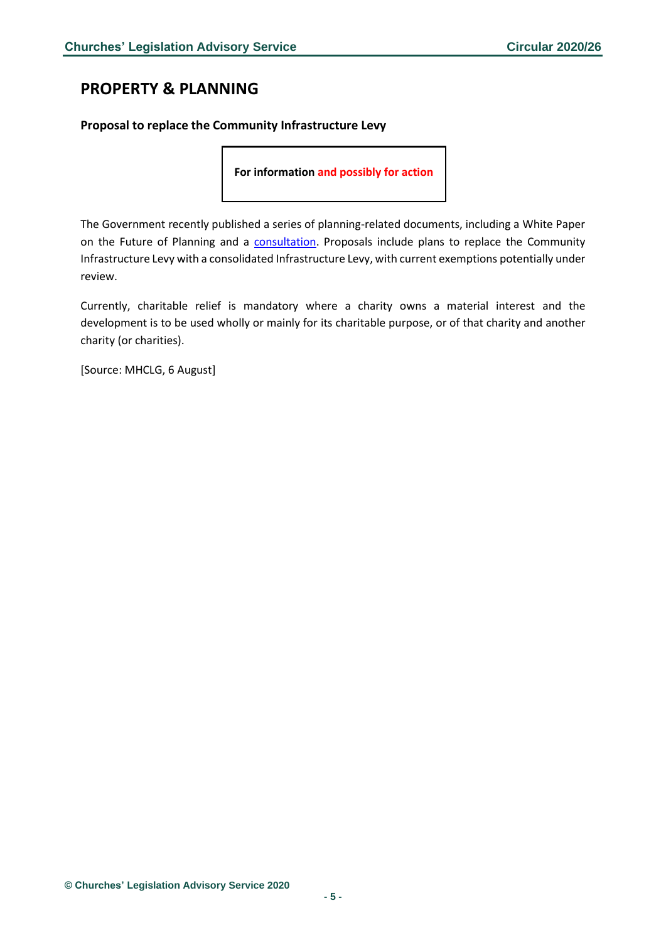# <span id="page-4-0"></span>**PROPERTY & PLANNING**

#### <span id="page-4-1"></span>**Proposal to replace the Community Infrastructure Levy**

**For information and possibly for action**

The Government recently published a series of planning-related documents, including a White Paper on the Future of Planning and a [consultation.](https://assets.publishing.service.gov.uk/government/uploads/system/uploads/attachment_data/file/907647/MHCLG-Planning-Consultation.pdf) Proposals include plans to replace the Community Infrastructure Levy with a consolidated Infrastructure Levy, with current exemptions potentially under review.

Currently, charitable relief is mandatory where a charity owns a material interest and the development is to be used wholly or mainly for its charitable purpose, or of that charity and another charity (or charities).

[Source: MHCLG, 6 August]